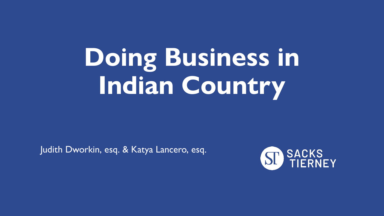# **Doing Business in Indian Country**

Judith Dworkin, esq. & Katya Lancero, esq.

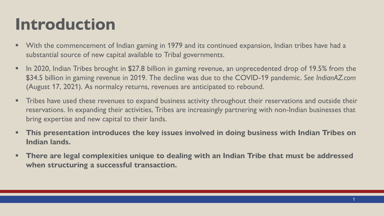#### **Introduction**

- With the commencement of Indian gaming in 1979 and its continued expansion, Indian tribes have had a substantial source of new capital available to Tribal governments.
- **•** In 2020, Indian Tribes brought in \$27.8 billion in gaming revenue, an unprecedented drop of 19.5% from the \$34.5 billion in gaming revenue in 2019. The decline was due to the COVID-19 pandemic. *See IndianAZ.com*  (August 17, 2021). As normalcy returns, revenues are anticipated to rebound.
- **The Steps have used these revenues to expand business activity throughout their reservations and outside their** reservations. In expanding their activities, Tribes are increasingly partnering with non-Indian businesses that bring expertise and new capital to their lands.
- **This presentation introduces the key issues involved in doing business with Indian Tribes on Indian lands.**
- **There are legal complexities unique to dealing with an Indian Tribe that must be addressed when structuring a successful transaction.**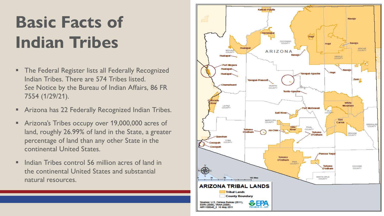## **Basic Facts of Indian Tribes**

- The Federal Register lists all Federally Recognized Indian Tribes. There are 574 Tribes listed. *See* Notice by the Bureau of Indian Affairs, 86 FR 7554 (1/29/21).
- Arizona has 22 Federally Recognized Indian Tribes.
- **EXP** Arizona's Tribes occupy over 19,000,000 acres of land, roughly 26.99% of land in the State, a greater percentage of land than any other State in the continental United States.
- Indian Tribes control 56 million acres of land in the continental United States and substantial natural resources.

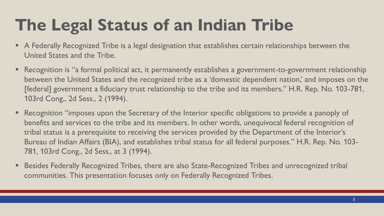#### **The Legal Status of an Indian Tribe**

- A Federally Recognized Tribe is a legal designation that establishes certain relationships between the United States and the Tribe.
- Recognition is "a formal political act, it permanently establishes a government-to-government relationship between the United States and the recognized tribe as a 'domestic dependent nation,' and imposes on the [federal] government a fiduciary trust relationship to the tribe and its members." H.R. Rep. No. 103-781, 103rd Cong., 2d Sess., 2 (1994).
- Recognition "imposes upon the Secretary of the Interior specific obligations to provide a panoply of benefits and services to the tribe and its members. In other words, unequivocal federal recognition of tribal status is a prerequisite to receiving the services provided by the Department of the Interior's Bureau of Indian Affairs (BIA), and establishes tribal status for all federal purposes." H.R. Rep. No. 103- 781, 103rd Cong., 2d Sess., at 3 (1994).
- Besides Federally Recognized Tribes, there are also State-Recognized Tribes and unrecognized tribal communities. This presentation focuses only on Federally Recognized Tribes.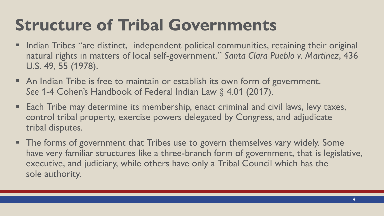#### **Structure of Tribal Governments**

- **•** Indian Tribes "are distinct, independent political communities, retaining their original natural rights in matters of local self-government." *Santa Clara Pueblo v. Martinez*, 436 U.S. 49, 55 (1978).
- An Indian Tribe is free to maintain or establish its own form of government. *See* 1-4 Cohen's Handbook of Federal Indian Law § 4.01 (2017).
- Each Tribe may determine its membership, enact criminal and civil laws, levy taxes, control tribal property, exercise powers delegated by Congress, and adjudicate tribal disputes.
- The forms of government that Tribes use to govern themselves vary widely. Some have very familiar structures like a three-branch form of government, that is legislative, executive, and judiciary, while others have only a Tribal Council which has the sole authority.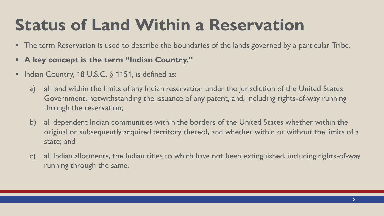#### **Status of Land Within a Reservation**

- **The term Reservation is used to describe the boundaries of the lands governed by a particular Tribe.**
- **A key concept is the term "Indian Country."**
- **Indian Country, 18 U.S.C.**  $\S$  **1151, is defined as:** 
	- a) all land within the limits of any Indian reservation under the jurisdiction of the United States Government, notwithstanding the issuance of any patent, and, including rights-of-way running through the reservation;
	- b) all dependent Indian communities within the borders of the United States whether within the original or subsequently acquired territory thereof, and whether within or without the limits of a state; and
	- c) all Indian allotments, the Indian titles to which have not been extinguished, including rights-of-way running through the same.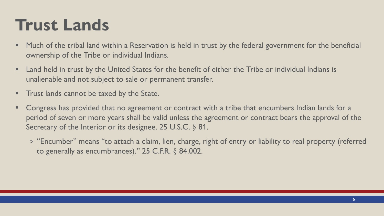#### **Trust Lands**

- Much of the tribal land within a Reservation is held in trust by the federal government for the beneficial ownership of the Tribe or individual Indians.
- Land held in trust by the United States for the benefit of either the Tribe or individual Indians is unalienable and not subject to sale or permanent transfer.
- **The Trust lands cannot be taxed by the State.**
- Congress has provided that no agreement or contract with a tribe that encumbers Indian lands for a period of seven or more years shall be valid unless the agreement or contract bears the approval of the Secretary of the Interior or its designee. 25 U.S.C. § 81.
	- > "Encumber" means "to attach a claim, lien, charge, right of entry or liability to real property (referred to generally as encumbrances)." 25 C.F.R. § 84.002.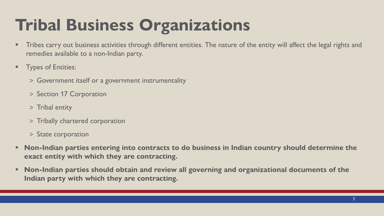#### **Tribal Business Organizations**

- Tribes carry out business activities through different entities. The nature of the entity will affect the legal rights and remedies available to a non-Indian party.
- **E** Types of Entities:
	- > Government itself or a government instrumentality
	- > Section 17 Corporation
	- > Tribal entity
	- > Tribally chartered corporation
	- > State corporation
- **Non-Indian parties entering into contracts to do business in Indian country should determine the exact entity with which they are contracting.**
- **Non-Indian parties should obtain and review all governing and organizational documents of the Indian party with which they are contracting.**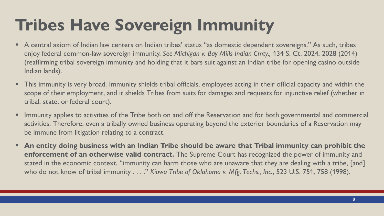#### **Tribes Have Sovereign Immunity**

- A central axiom of Indian law centers on Indian tribes' status "as domestic dependent sovereigns." As such, tribes enjoy federal common-law sovereign immunity. *See Michigan v. Bay Mills Indian Cmty.,* 134 S. Ct. 2024, 2028 (2014) (reaffirming tribal sovereign immunity and holding that it bars suit against an Indian tribe for opening casino outside Indian lands).
- This immunity is very broad. Immunity shields tribal officials, employees acting in their official capacity and within the scope of their employment, and it shields Tribes from suits for damages and requests for injunctive relief (whether in tribal, state, or federal court).
- Immunity applies to activities of the Tribe both on and off the Reservation and for both governmental and commercial activities. Therefore, even a tribally owned business operating beyond the exterior boundaries of a Reservation may be immune from litigation relating to a contract.
- **EXTED 10 TH2 TH2 TH2 In the Tribe Should Seau are that Tribal immunity can prohibit the enforcement of an otherwise valid contract.** The Supreme Court has recognized the power of immunity and stated in the economic context, "immunity can harm those who are unaware that they are dealing with a tribe, [and] who do not know of tribal immunity . . . ." *Kiowa Tribe of Oklahoma v. Mfg. Techs., Inc.*, 523 U.S. 751, 758 (1998).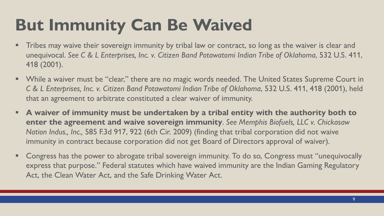#### **But Immunity Can Be Waived**

- Tribes may waive their sovereign immunity by tribal law or contract, so long as the waiver is clear and unequivocal. *See C & L Enterprises, Inc. v. Citizen Band Potawatomi Indian Tribe of Oklahoma*, 532 U.S. 411, 418 (2001).
- While a waiver must be "clear," there are no magic words needed. The United States Supreme Court in *C & L Enterprises, Inc. v. Citizen Band Potawatomi Indian Tribe of Oklahoma*, 532 U.S. 411, 418 (2001), held that an agreement to arbitrate constituted a clear waiver of immunity.
- **EXT A waiver of immunity must be undertaken by a tribal entity with the authority both to enter the agreement and waive sovereign immunity**. *See Memphis Biofuels, LLC v. Chickasaw Nation Indus., Inc.,* 585 F.3d 917, 922 (6th Cir. 2009) (finding that tribal corporation did not waive immunity in contract because corporation did not get Board of Directors approval of waiver).
- Congress has the power to abrogate tribal sovereign immunity. To do so, Congress must "unequivocally express that purpose." Federal statutes which have waived immunity are the Indian Gaming Regulatory Act, the Clean Water Act, and the Safe Drinking Water Act.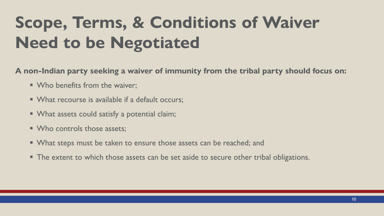## **Scope, Terms, & Conditions of Waiver Need to be Negotiated**

**A non-Indian party seeking a waiver of immunity from the tribal party should focus on:**

- Who benefits from the waiver:
- What recourse is available if a default occurs;
- What assets could satisfy a potential claim;
- Who controls those assets:
- What steps must be taken to ensure those assets can be reached; and
- **The extent to which those assets can be set aside to secure other tribal obligations.**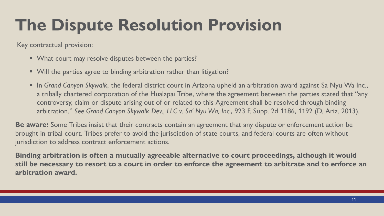#### **The Dispute Resolution Provision**

Key contractual provision:

- What court may resolve disputes between the parties?
- Will the parties agree to binding arbitration rather than litigation?
- In *Grand Canyon Skywalk*, the federal district court in Arizona upheld an arbitration award against Sa Nyu Wa Inc., a tribally chartered corporation of the Hualapai Tribe, where the agreement between the parties stated that "any controversy, claim or dispute arising out of or related to this Agreement shall be resolved through binding arbitration." *See Grand Canyon Skywalk Dev., LLC v. Sa' Nyu Wa, Inc.*, 923 F. Supp. 2d 1186, 1192 (D. Ariz. 2013).

**Be aware:** Some Tribes insist that their contracts contain an agreement that any dispute or enforcement action be brought in tribal court. Tribes prefer to avoid the jurisdiction of state courts, and federal courts are often without jurisdiction to address contract enforcement actions.

**Binding arbitration is often a mutually agreeable alternative to court proceedings, although it would still be necessary to resort to a court in order to enforce the agreement to arbitrate and to enforce an arbitration award.**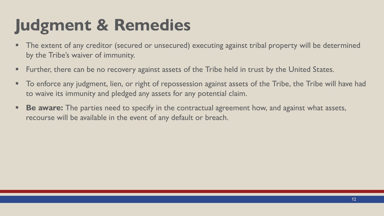#### **Judgment & Remedies**

- **The extent of any creditor (secured or unsecured) executing against tribal property will be determined** by the Tribe's waiver of immunity.
- **EXT** Further, there can be no recovery against assets of the Tribe held in trust by the United States.
- $\blacksquare$  To enforce any judgment, lien, or right of repossession against assets of the Tribe, the Tribe will have had to waive its immunity and pledged any assets for any potential claim.
- **Be aware:** The parties need to specify in the contractual agreement how, and against what assets, recourse will be available in the event of any default or breach.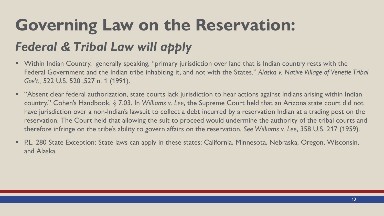## **Governing Law on the Reservation:** *Federal & Tribal Law will apply*

- Within Indian Country, generally speaking, "primary jurisdiction over land that is Indian country rests with the Federal Government and the Indian tribe inhabiting it, and not with the States." *Alaska v. Native Village of Venetie Tribal Gov't.,* 522 U.S. 520 ,527 n. 1 (1991).
- "Absent clear federal authorization, state courts lack jurisdiction to hear actions against Indians arising within Indian country." Cohen's Handbook, § 7.03. In *Williams v. Lee*, the Supreme Court held that an Arizona state court did not have jurisdiction over a non-Indian's lawsuit to collect a debt incurred by a reservation Indian at a trading post on the reservation. The Court held that allowing the suit to proceed would undermine the authority of the tribal courts and therefore infringe on the tribe's ability to govern affairs on the reservation. *See Williams v. Lee*, 358 U.S. 217 (1959).
- P.L. 280 State Exception: State laws can apply in these states: California, Minnesota, Nebraska, Oregon, Wisconsin, and Alaska.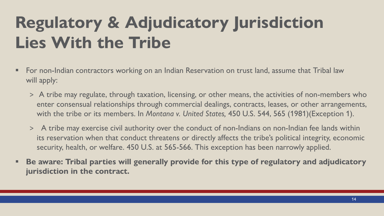## **Regulatory & Adjudicatory Jurisdiction Lies With the Tribe**

- For non-Indian contractors working on an Indian Reservation on trust land, assume that Tribal law will apply:
	- > A tribe may regulate, through taxation, licensing, or other means, the activities of non-members who enter consensual relationships through commercial dealings, contracts, leases, or other arrangements, with the tribe or its members. In *Montana v. United States,* 450 U.S. 544, 565 (1981)(Exception 1).
	- > A tribe may exercise civil authority over the condu*c*t of non-Indians on non-Indian fee lands within its reservation when that conduct threatens or directly affects the tribe's political integrity, economic security, health, or welfare. 450 U.S. at 565-566. This exception has been narrowly applied.
- Be aware: Tribal parties will generally provide for this type of regulatory and adjudicatory **jurisdiction in the contract.**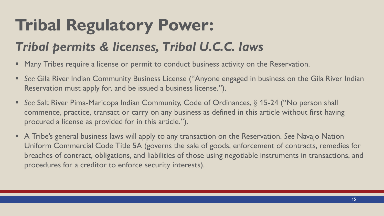#### **Tribal Regulatory Power:**

#### *Tribal permits & licenses, Tribal U.C.C. laws*

- **Many Tribes require a license or permit to conduct business activity on the Reservation.**
- See Gila River Indian Community Business License ("Anyone engaged in business on the Gila River Indian Reservation must apply for, and be issued a business license.").
- See Salt River Pima-Maricopa Indian Community, Code of Ordinances, § 15-24 ("No person shall commence, practice, transact or carry on any business as defined in this article without first having procured a license as provided for in this article.").
- A Tribe's general business laws will apply to any transaction on the Reservation. *See* Navajo Nation Uniform Commercial Code Title 5A (governs the sale of goods, enforcement of contracts, remedies for breaches of contract, obligations, and liabilities of those using negotiable instruments in transactions, and procedures for a creditor to enforce security interests).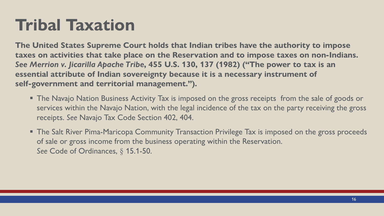#### **Tribal Taxation**

**The United States Supreme Court holds that Indian tribes have the authority to impose taxes on activities that take place on the Reservation and to impose taxes on non-Indians.**  *See Merrion v. Jicarilla Apache Tribe***, 455 U.S. 130, 137 (1982) ("The power to tax is an essential attribute of Indian sovereignty because it is a necessary instrument of self-government and territorial management.").** 

- **The Navajo Nation Business Activity Tax is imposed on the gross receipts from the sale of goods or** services within the Navajo Nation, with the legal incidence of the tax on the party receiving the gross receipts. *See* Navajo Tax Code Section 402, 404.
- **The Salt River Pima-Maricopa Community Transaction Privilege Tax is imposed on the gross proceeds** of sale or gross income from the business operating within the Reservation. *See* Code of Ordinances, § 15.1-50.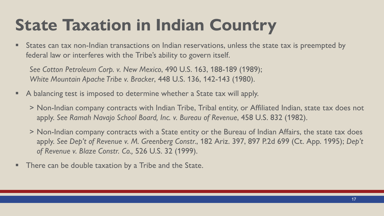#### **State Taxation in Indian Country**

**EXT** States can tax non-Indian transactions on Indian reservations, unless the state tax is preempted by federal law or interferes with the Tribe's ability to govern itself.

*See Cotton Petroleum Corp. v. New Mexico*, 490 U.S. 163, 188-189 (1989); *White Mountain Apache Tribe v. Bracker*, 448 U.S. 136, 142-143 (1980).

- A balancing test is imposed to determine whether a State tax will apply.
	- > Non-Indian company contracts with Indian Tribe, Tribal entity, or Affiliated Indian, state tax does not apply. *See Ramah Navajo School Board, Inc. v. Bureau of Revenue*, 458 U.S. 832 (1982).
	- > Non-Indian company contracts with a State entity or the Bureau of Indian Affairs, the state tax does apply. *See Dep't of Revenue v. M. Greenberg Constr.*, 182 Ariz. 397, 897 P.2d 699 (Ct. App. 1995); *Dep't of Revenue v. Blaze Constr. Co.,* 526 U.S. 32 (1999).
- There can be double taxation by a Tribe and the State.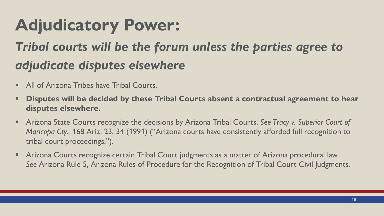#### **Adjudicatory Power:**

#### *Tribal courts will be the forum unless the parties agree to adjudicate disputes elsewhere*

- All of Arizona Tribes have Tribal Courts.
- **EXPEDENT III SEE ASSET THE ISLE IS A 12 SET 10 ISLE 10 ISLE 15 FOM THE ISLE 15 FOM THE ISLE 15 FOM THE ISLE 15 FOM THE ISLE 15 FOM THE ISLE 15 FOM THE ISLE 15 FOM THE 15 FOM THE 15 FOM THE 15 FOM THE 15 FOM THE 15 FOM THE disputes elsewhere.**
- Arizona State Courts recognize the decisions by Arizona Tribal Courts. See Tracy v. Superior Court of *Maricopa Cty.,* 168 Ariz. 23, 34 (1991) ("Arizona courts have consistently afforded full recognition to tribal court proceedings.").
- **E** Arizona Courts recognize certain Tribal Court judgments as a matter of Arizona procedural law. *See* Arizona Rule 5, Arizona Rules of Procedure for the Recognition of Tribal Court Civil Judgments.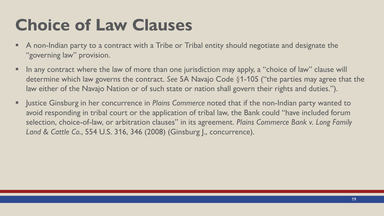#### **Choice of Law Clauses**

- A non-Indian party to a contract with a Tribe or Tribal entity should negotiate and designate the "governing law" provision.
- In any contract where the law of more than one jurisdiction may apply, a "choice of law" clause will determine which law governs the contract. *See* 5A Navajo Code §1-105 ("the parties may agree that the law either of the Navajo Nation or of such state or nation shall govern their rights and duties.").
- Justice Ginsburg in her concurrence in *Plains Commerce* noted that if the non-Indian party wanted to avoid responding in tribal court or the application of tribal law, the Bank could "have included forum selection, choice-of-law, or arbitration clauses" in its agreement. *Plains Commerce Bank v. Long Family Land & Cattle Co.*, 554 U.S. 316, 346 (2008) (Ginsburg J., concurrence).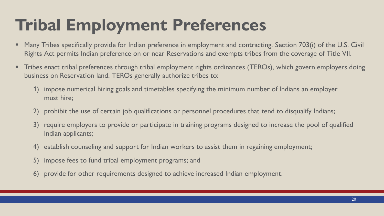#### **Tribal Employment Preferences**

- Many Tribes specifically provide for Indian preference in employment and contracting. Section 703(i) of the U.S. Civil Rights Act permits Indian preference on or near Reservations and exempts tribes from the coverage of Title VII.
- Tribes enact tribal preferences through tribal employment rights ordinances (TEROs), which govern employers doing business on Reservation land. TEROs generally authorize tribes to:
	- 1) impose numerical hiring goals and timetables specifying the minimum number of Indians an employer must hire;
	- 2) prohibit the use of certain job qualifications or personnel procedures that tend to disqualify Indians;
	- 3) require employers to provide or participate in training programs designed to increase the pool of qualified Indian applicants;
	- 4) establish counseling and support for Indian workers to assist them in regaining employment;
	- 5) impose fees to fund tribal employment programs; and
	- 6) provide for other requirements designed to achieve increased Indian employment.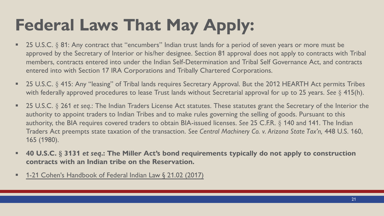#### **Federal Laws That May Apply:**

- 25 U.S.C. § 81: Any contract that "encumbers" Indian trust lands for a period of seven years or more must be approved by the Secretary of Interior or his/her designee. Section 81 approval does not apply to contracts with Tribal members, contracts entered into under the Indian Self-Determination and Tribal Self Governance Act, and contracts entered into with Section 17 IRA Corporations and Tribally Chartered Corporations.
- 25 U.S.C. § 415: Any "leasing" of Tribal lands requires Secretary Approval. But the 2012 HEARTH Act permits Tribes with federally approved procedures to lease Trust lands without Secretarial approval for up to 25 years. *See* § 415(h).
- 25 U.S.C. § 261 *et seq.*: The Indian Traders License Act statutes. These statutes grant the Secretary of the Interior the authority to appoint traders to Indian Tribes and to make rules governing the selling of goods. Pursuant to this authority, the BIA requires covered traders to obtain BIA-issued licenses. *See* 25 C.F.R. § 140 and 141. The Indian Traders Act preempts state taxation of the transaction. *See Central Machinery Co. v. Arizona State Tax'n,* 448 U.S. 160, 165 (1980).
- **40 U.S.C. § 3131** *et seq***.: The Miller Act's bond requirements typically do not apply to construction contracts with an Indian tribe on the Reservation.**
- [1-21 Cohen's Handbook of Federal Indian Law §](https://advance.lexis.com/api/document/collection/analytical-materials/id/556S-HHX0-R03J-M0R0-00000-00?cite=1-21%20Cohen) 21.02 (2017)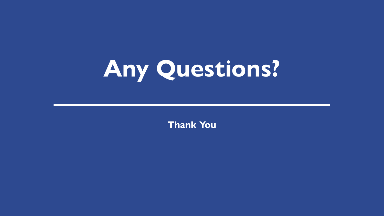

**Thank You**